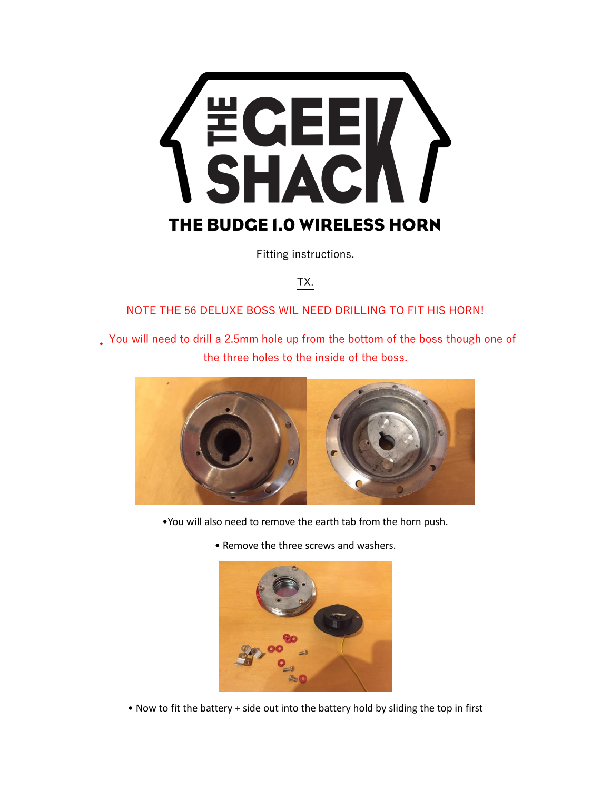

Fitting instructions.

TX.

## NOTE THE 56 DELUXE BOSS WIL NEED DRILLING TO FIT HIS HORN!

• You will need to drill a 2.5mm hole up from the bottom of the boss though one of the three holes to the inside of the boss.



- •You will also need to remove the earth tab from the horn push.
	- Remove the three screws and washers.



• Now to fit the battery + side out into the battery hold by sliding the top in first